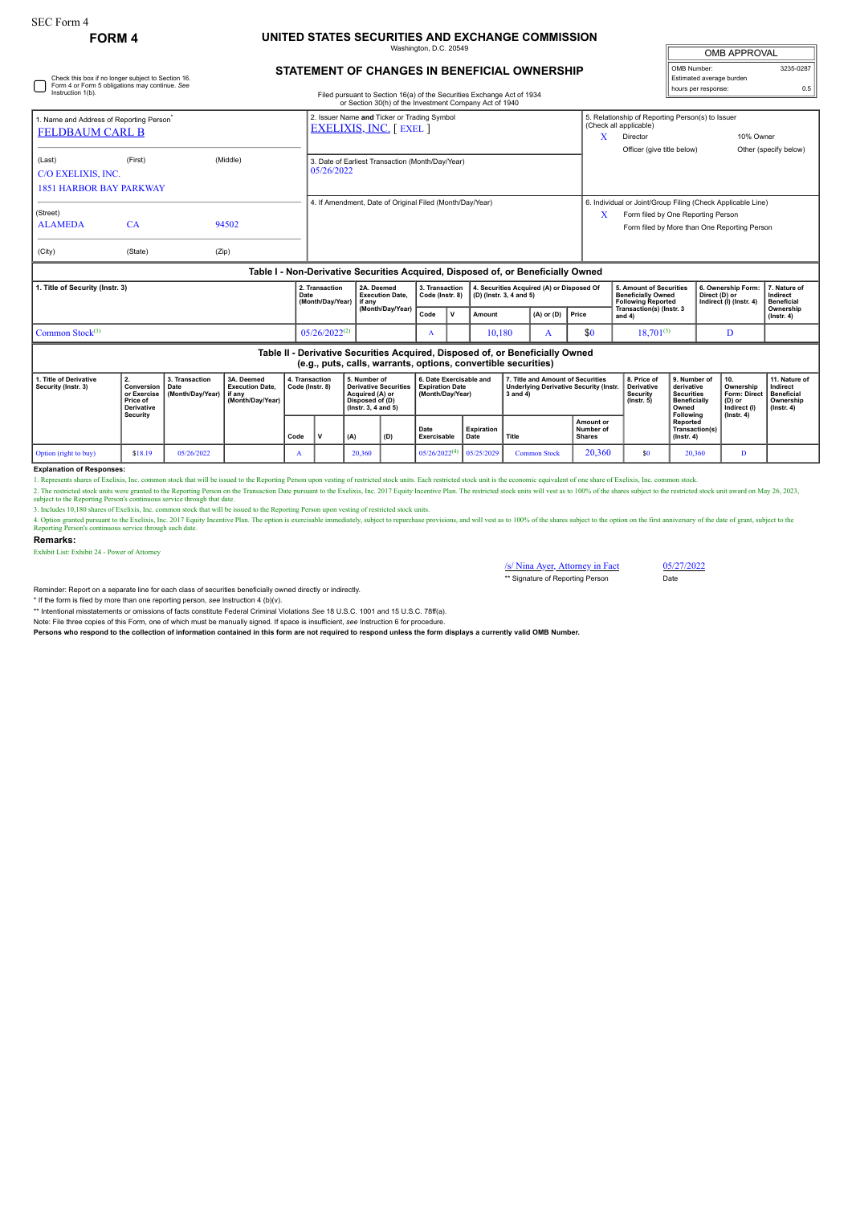# **FORM 4 UNITED STATES SECURITIES AND EXCHANGE COMMISSION**

Washington, D.C. 20549

| <b>OMB APPROVAL</b>                             |           |  |  |  |  |  |  |
|-------------------------------------------------|-----------|--|--|--|--|--|--|
| OMB Number:                                     | 3235-0287 |  |  |  |  |  |  |
| Estimated average burden<br>hours per response: | 0.5       |  |  |  |  |  |  |
|                                                 |           |  |  |  |  |  |  |

## **STATEMENT OF CHANGES IN BENEFICIAL OWNERSHIP**

| Check this box if no longer subject to Section 16.<br>Form 4 or Form 5 obligations may continue. See<br>Instruction 1(b).<br>Filed pursuant to Section 16(a) of the Securities Exchange Act of 1934<br>or Section 30(h) of the Investment Company Act of 1940 |                                                                              |                                            |                                                                    |      |                                                                               |          |                                                                                                                                                 |                                   |                                                                       |        |                                                                                                |                                         |                | Estimated average burden<br>hours per response:                                                                                                            |                                                                                              |                                                                | 0.5                                                                                   |                                                                                 |  |
|---------------------------------------------------------------------------------------------------------------------------------------------------------------------------------------------------------------------------------------------------------------|------------------------------------------------------------------------------|--------------------------------------------|--------------------------------------------------------------------|------|-------------------------------------------------------------------------------|----------|-------------------------------------------------------------------------------------------------------------------------------------------------|-----------------------------------|-----------------------------------------------------------------------|--------|------------------------------------------------------------------------------------------------|-----------------------------------------|----------------|------------------------------------------------------------------------------------------------------------------------------------------------------------|----------------------------------------------------------------------------------------------|----------------------------------------------------------------|---------------------------------------------------------------------------------------|---------------------------------------------------------------------------------|--|
| 1. Name and Address of Reporting Person <sup>®</sup><br><b>FELDBAUM CARL B</b>                                                                                                                                                                                |                                                                              |                                            |                                                                    |      | 2. Issuer Name and Ticker or Trading Symbol<br><b>EXELIXIS, INC.</b> [ EXEL ] |          |                                                                                                                                                 |                                   |                                                                       |        |                                                                                                |                                         | x              | 5. Relationship of Reporting Person(s) to Issuer<br>(Check all applicable)<br>10% Owner<br>Director<br>Officer (give title below)<br>Other (specify below) |                                                                                              |                                                                |                                                                                       |                                                                                 |  |
| (Last)<br>C/O EXELIXIS, INC.<br><b>1851 HARBOR BAY PARKWAY</b>                                                                                                                                                                                                | (First)                                                                      |                                            | (Middle)                                                           |      | 3. Date of Earliest Transaction (Month/Day/Year)<br>05/26/2022                |          |                                                                                                                                                 |                                   |                                                                       |        |                                                                                                |                                         |                |                                                                                                                                                            |                                                                                              |                                                                |                                                                                       |                                                                                 |  |
| (Street)<br><b>ALAMEDA</b><br>(City)                                                                                                                                                                                                                          | CA<br>(State)                                                                | (Zip)                                      | 94502                                                              |      | 4. If Amendment, Date of Original Filed (Month/Day/Year)                      |          |                                                                                                                                                 |                                   |                                                                       |        |                                                                                                |                                         | X              | 6. Individual or Joint/Group Filing (Check Applicable Line)<br>Form filed by One Reporting Person<br>Form filed by More than One Reporting Person          |                                                                                              |                                                                |                                                                                       |                                                                                 |  |
|                                                                                                                                                                                                                                                               |                                                                              |                                            |                                                                    |      |                                                                               |          | Table I - Non-Derivative Securities Acquired, Disposed of, or Beneficially Owned                                                                |                                   |                                                                       |        |                                                                                                |                                         |                |                                                                                                                                                            |                                                                                              |                                                                |                                                                                       |                                                                                 |  |
| 1. Title of Security (Instr. 3)                                                                                                                                                                                                                               |                                                                              |                                            |                                                                    |      | 2. Transaction<br>Date<br>(Month/Day/Year)                                    | l if anv | 2A. Deemed<br><b>Execution Date.</b>                                                                                                            | 3. Transaction<br>Code (Instr. 8) |                                                                       |        | 4. Securities Acquired (A) or Disposed Of<br>(D) (Instr. 3, 4 and 5)                           |                                         |                | 5. Amount of Securities<br><b>Beneficially Owned</b><br><b>Following Reported</b>                                                                          |                                                                                              | 6. Ownership Form:<br>Direct (D) or<br>Indirect (I) (Instr. 4) |                                                                                       | 7. Nature of<br>Indirect<br><b>Beneficial</b>                                   |  |
|                                                                                                                                                                                                                                                               |                                                                              |                                            |                                                                    |      |                                                                               |          | (Month/Day/Year)                                                                                                                                |                                   | v                                                                     | Amount |                                                                                                | $(A)$ or $(D)$                          | Price          | Transaction(s) (Instr. 3<br>and 4)                                                                                                                         |                                                                                              |                                                                |                                                                                       | Ownership<br>$($ lnstr. 4 $)$                                                   |  |
| Common Stock $(1)$                                                                                                                                                                                                                                            |                                                                              |                                            |                                                                    |      | $05/26/2022^{(2)}$                                                            |          | A                                                                                                                                               |                                   | 10,180                                                                |        | A                                                                                              | \$0                                     | $18,701^{(3)}$ |                                                                                                                                                            | D                                                                                            |                                                                |                                                                                       |                                                                                 |  |
|                                                                                                                                                                                                                                                               |                                                                              |                                            |                                                                    |      |                                                                               |          | Table II - Derivative Securities Acquired, Disposed of, or Beneficially Owned<br>(e.g., puts, calls, warrants, options, convertible securities) |                                   |                                                                       |        |                                                                                                |                                         |                |                                                                                                                                                            |                                                                                              |                                                                |                                                                                       |                                                                                 |  |
| 1. Title of Derivative<br>Security (Instr. 3)                                                                                                                                                                                                                 | 2.<br>Conversion<br>or Exercise<br>Price of<br><b>Derivative</b><br>Security | 3. Transaction<br>Date<br>(Month/Day/Year) | 3A. Deemed<br><b>Execution Date.</b><br>if anv<br>(Month/Day/Year) |      | 4. Transaction<br>Code (Instr. 8)                                             |          | 5. Number of<br><b>Derivative Securities</b><br>Acquired (A) or<br>Disposed of (D)<br>(Instr. 3, 4 and 5)                                       |                                   | 6. Date Exercisable and<br><b>Expiration Date</b><br>(Month/Day/Year) |        | 7. Title and Amount of Securities<br><b>Underlying Derivative Security (Instr.</b><br>3 and 4) |                                         |                | 8. Price of<br><b>Derivative</b><br><b>Security</b><br>$($ lnstr. 5 $)$                                                                                    | 9. Number of<br>derivative<br><b>Securities</b><br><b>Beneficially</b><br>Owned<br>Following |                                                                | 10.<br>Ownership<br><b>Form: Direct</b><br>(D) or<br>Indirect (I)<br>$($ lnstr. 4 $)$ | 11. Nature of<br>Indirect<br><b>Beneficial</b><br>Ownership<br>$($ lnstr. 4 $)$ |  |
|                                                                                                                                                                                                                                                               |                                                                              |                                            |                                                                    | Code | (A)<br>(D)                                                                    |          | Date<br>Exercisable                                                                                                                             | Expiration<br>Date                |                                                                       | Title  |                                                                                                | Amount or<br>Number of<br><b>Shares</b> |                | <b>Reported</b><br>Transaction(s)<br>$($ Instr. 4 $)$                                                                                                      |                                                                                              |                                                                |                                                                                       |                                                                                 |  |

### **Explanation of Responses:**

1. Represents shares of Exelixis, Inc. common stock that will be issued to the Reporting Person upon vesting of restricted stock units. Each restricted stock unit is the economic equivalent of one share of Exelixis, Inc. c

Option (right to buy) \$18.19 05/26/2022 A 20,360 05/26/2022<sup>(4)</sup> 05/25/2029 Common Stock 20,360 \$0 20,360 D

2. The restricted stock units were granted to the Reporting Preson on the Transaction Date pursuant to the Exelixis, Inc. 2017 Equity Incentive Plan. The restricted stock units will vest as to 100% of the shares subject to

3. Includes 10,180 shares of Exelixis, Inc. common stock that will be issued to the Reporting Person upon vesting of restricted stock units.<br>4. Option granted pursuant to the Exelixis, Inc. 2017 Equity Incentive Plan. The

#### **Remarks:**

Exhibit List: Exhibit 24 - Power of Attorney

/s/ Nina Ayer, Attorney in Fact 05/27/2022<br>\*\* Signature of Reporting Person Date \*\* Signature of Reporting Person

Reminder: Report on a separate line for each class of securities beneficially owned directly or indirectly.

\* If the form is filed by more than one reporting person, *see* Instruction 4 (b)(v).

\*\* Intentional misstatements or omissions of facts constitute Federal Criminal Violations *See* 18 U.S.C. 1001 and 15 U.S.C. 78ff(a).

Note: File three copies of this Form, one of which must be manually signed. If space is insufficient, *see* Instruction 6 for procedure.

**Persons who respond to the collection of information contained in this form are not required to respond unless the form displays a currently valid OMB Number.**